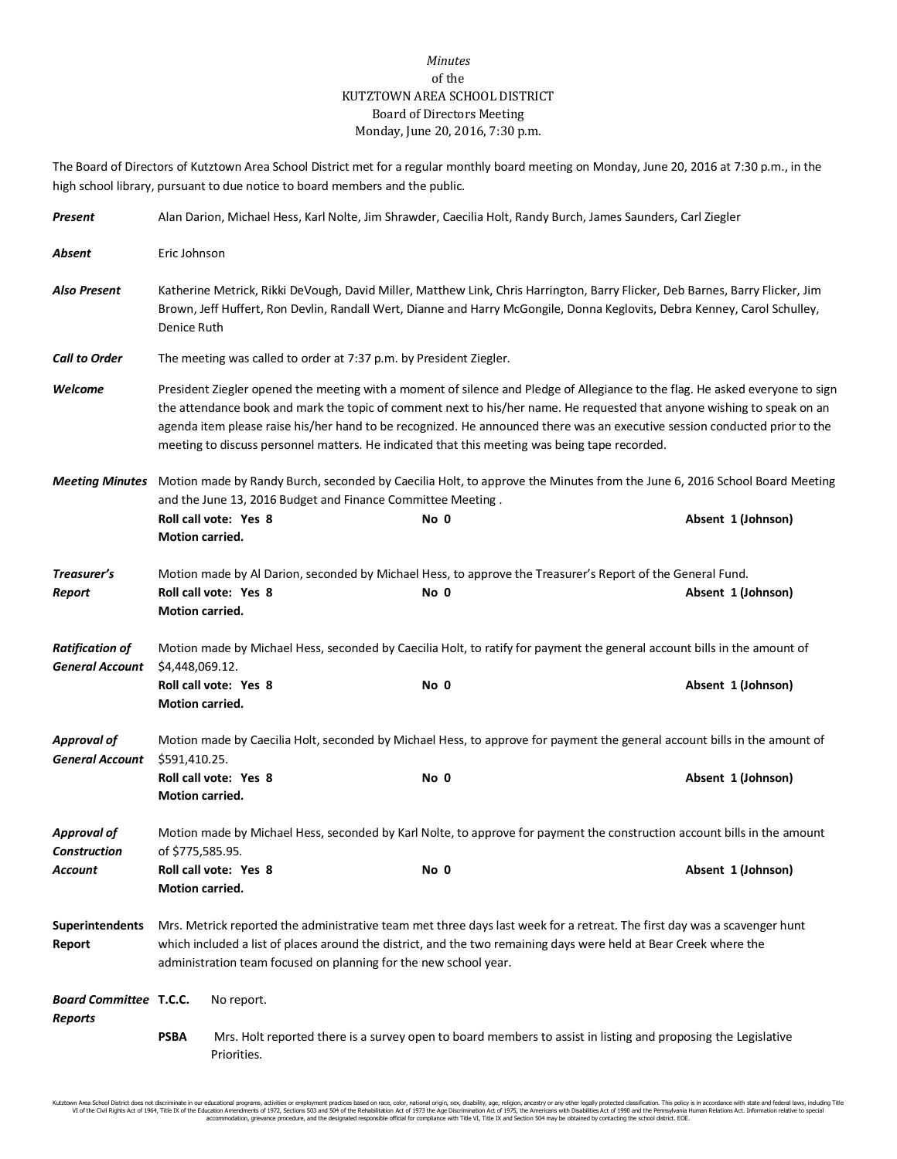## *Minutes* of the KUTZTOWN AREA SCHOOL DISTRICT Board of Directors Meeting Monday, June 20, 2016, 7:30 p.m.

The Board of Directors of Kutztown Area School District met for a regular monthly board meeting on Monday, June 20, 2016 at 7:30 p.m., in the high school library, pursuant to due notice to board members and the public.

| Present                                          | Alan Darion, Michael Hess, Karl Nolte, Jim Shrawder, Caecilia Holt, Randy Burch, James Saunders, Carl Ziegler                                                                                                                                                                                                     |                                                                                                                                                                                                                                                                                                                                                                                                                                                                                         |  |      |  |  |                    |
|--------------------------------------------------|-------------------------------------------------------------------------------------------------------------------------------------------------------------------------------------------------------------------------------------------------------------------------------------------------------------------|-----------------------------------------------------------------------------------------------------------------------------------------------------------------------------------------------------------------------------------------------------------------------------------------------------------------------------------------------------------------------------------------------------------------------------------------------------------------------------------------|--|------|--|--|--------------------|
| Absent                                           | Eric Johnson                                                                                                                                                                                                                                                                                                      |                                                                                                                                                                                                                                                                                                                                                                                                                                                                                         |  |      |  |  |                    |
| <b>Also Present</b>                              |                                                                                                                                                                                                                                                                                                                   | Katherine Metrick, Rikki DeVough, David Miller, Matthew Link, Chris Harrington, Barry Flicker, Deb Barnes, Barry Flicker, Jim<br>Brown, Jeff Huffert, Ron Devlin, Randall Wert, Dianne and Harry McGongile, Donna Keglovits, Debra Kenney, Carol Schulley,<br>Denice Ruth                                                                                                                                                                                                               |  |      |  |  |                    |
| <b>Call to Order</b>                             |                                                                                                                                                                                                                                                                                                                   | The meeting was called to order at 7:37 p.m. by President Ziegler.                                                                                                                                                                                                                                                                                                                                                                                                                      |  |      |  |  |                    |
| Welcome                                          |                                                                                                                                                                                                                                                                                                                   | President Ziegler opened the meeting with a moment of silence and Pledge of Allegiance to the flag. He asked everyone to sign<br>the attendance book and mark the topic of comment next to his/her name. He requested that anyone wishing to speak on an<br>agenda item please raise his/her hand to be recognized. He announced there was an executive session conducted prior to the<br>meeting to discuss personnel matters. He indicated that this meeting was being tape recorded. |  |      |  |  |                    |
| <b>Meeting Minutes</b>                           | Motion made by Randy Burch, seconded by Caecilia Holt, to approve the Minutes from the June 6, 2016 School Board Meeting<br>and the June 13, 2016 Budget and Finance Committee Meeting.                                                                                                                           |                                                                                                                                                                                                                                                                                                                                                                                                                                                                                         |  |      |  |  |                    |
|                                                  | Motion carried.                                                                                                                                                                                                                                                                                                   | Roll call vote: Yes 8                                                                                                                                                                                                                                                                                                                                                                                                                                                                   |  | No 0 |  |  | Absent 1 (Johnson) |
| Treasurer's<br>Report                            | Motion carried.                                                                                                                                                                                                                                                                                                   | Motion made by Al Darion, seconded by Michael Hess, to approve the Treasurer's Report of the General Fund.<br>Roll call vote: Yes 8                                                                                                                                                                                                                                                                                                                                                     |  | No 0 |  |  | Absent 1 (Johnson) |
| <b>Ratification of</b><br><b>General Account</b> |                                                                                                                                                                                                                                                                                                                   | Motion made by Michael Hess, seconded by Caecilia Holt, to ratify for payment the general account bills in the amount of<br>\$4,448,069.12.<br>Roll call vote: Yes 8<br>Absent 1 (Johnson)<br>No 0                                                                                                                                                                                                                                                                                      |  |      |  |  |                    |
| <b>Approval of</b><br><b>General Account</b>     | Motion carried.<br>Motion made by Caecilia Holt, seconded by Michael Hess, to approve for payment the general account bills in the amount of<br>\$591,410.25.<br>Roll call vote: Yes 8<br>Absent 1 (Johnson)<br>No 0                                                                                              |                                                                                                                                                                                                                                                                                                                                                                                                                                                                                         |  |      |  |  |                    |
|                                                  | Motion carried.                                                                                                                                                                                                                                                                                                   |                                                                                                                                                                                                                                                                                                                                                                                                                                                                                         |  |      |  |  |                    |
| <b>Approval of</b><br><b>Construction</b>        | Motion made by Michael Hess, seconded by Karl Nolte, to approve for payment the construction account bills in the amount<br>of \$775,585.95.<br>Roll call vote: Yes 8                                                                                                                                             |                                                                                                                                                                                                                                                                                                                                                                                                                                                                                         |  |      |  |  |                    |
| Account                                          | <b>Motion carried.</b>                                                                                                                                                                                                                                                                                            |                                                                                                                                                                                                                                                                                                                                                                                                                                                                                         |  | No 0 |  |  | Absent 1 (Johnson) |
| <b>Superintendents</b><br>Report                 | Mrs. Metrick reported the administrative team met three days last week for a retreat. The first day was a scavenger hunt<br>which included a list of places around the district, and the two remaining days were held at Bear Creek where the<br>administration team focused on planning for the new school year. |                                                                                                                                                                                                                                                                                                                                                                                                                                                                                         |  |      |  |  |                    |
| <b>Board Committee T.C.C.</b><br><b>Reports</b>  |                                                                                                                                                                                                                                                                                                                   | No report.                                                                                                                                                                                                                                                                                                                                                                                                                                                                              |  |      |  |  |                    |
|                                                  | <b>PSBA</b>                                                                                                                                                                                                                                                                                                       | Mrs. Holt reported there is a survey open to board members to assist in listing and proposing the Legislative<br>Priorities.                                                                                                                                                                                                                                                                                                                                                            |  |      |  |  |                    |

Kutztown Area School District does not discriminate in our educational programs, activities or employment practices based on race, color, rational origin, sex, disability, age, religion, ancestry or any other legally prot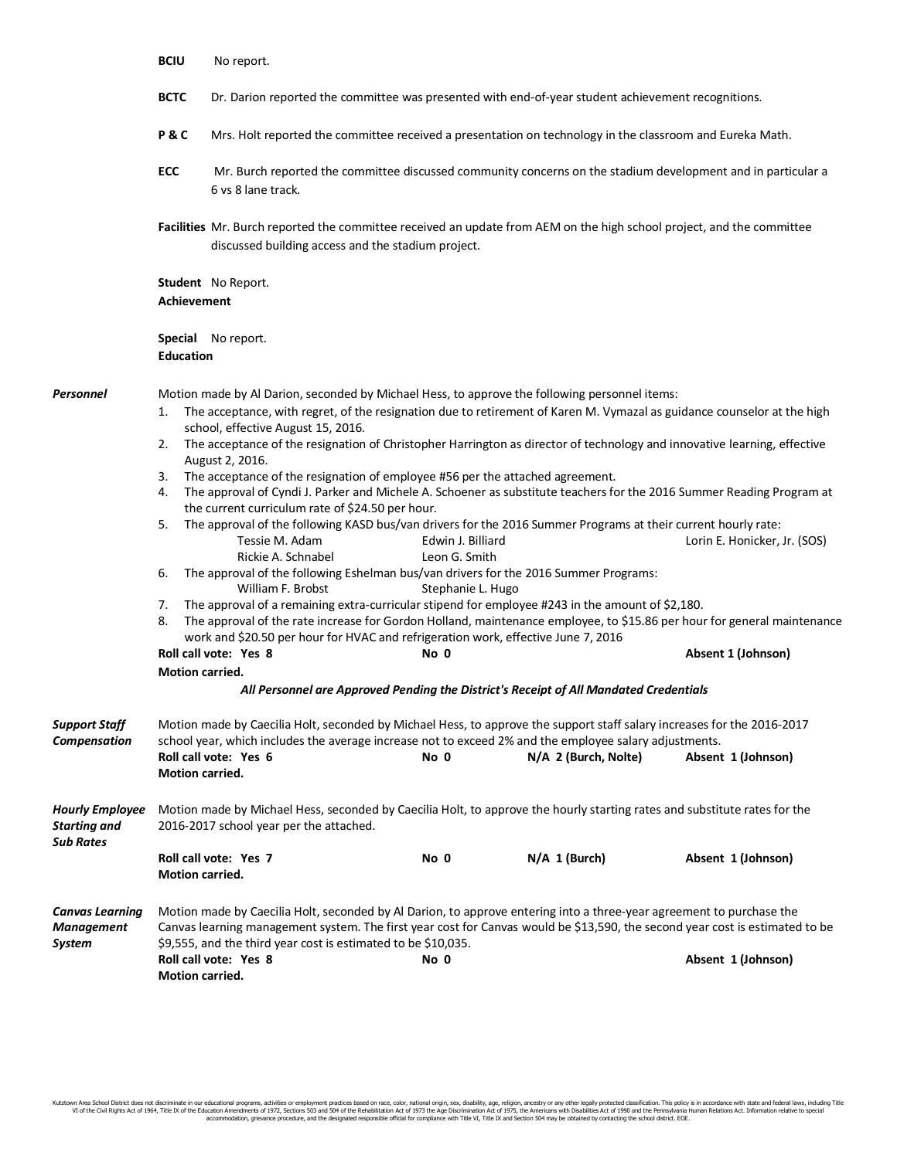|                                                                   | <b>BCIU</b>                                                                                                                                                                                                                                                                                                                                                                                     | No report.<br>Dr. Darion reported the committee was presented with end-of-year student achievement recognitions.                                                                                                                                                                                                                                                                                                                                                                                                                                                                                                                                                                                                                                                                                                                                                                                                                                                                                                                                                                                                                                                                                                                                                                                                                                                                                                                                                                                                    |                                                                                                                       |                 |                    |  |  |
|-------------------------------------------------------------------|-------------------------------------------------------------------------------------------------------------------------------------------------------------------------------------------------------------------------------------------------------------------------------------------------------------------------------------------------------------------------------------------------|---------------------------------------------------------------------------------------------------------------------------------------------------------------------------------------------------------------------------------------------------------------------------------------------------------------------------------------------------------------------------------------------------------------------------------------------------------------------------------------------------------------------------------------------------------------------------------------------------------------------------------------------------------------------------------------------------------------------------------------------------------------------------------------------------------------------------------------------------------------------------------------------------------------------------------------------------------------------------------------------------------------------------------------------------------------------------------------------------------------------------------------------------------------------------------------------------------------------------------------------------------------------------------------------------------------------------------------------------------------------------------------------------------------------------------------------------------------------------------------------------------------------|-----------------------------------------------------------------------------------------------------------------------|-----------------|--------------------|--|--|
|                                                                   | <b>BCTC</b>                                                                                                                                                                                                                                                                                                                                                                                     |                                                                                                                                                                                                                                                                                                                                                                                                                                                                                                                                                                                                                                                                                                                                                                                                                                                                                                                                                                                                                                                                                                                                                                                                                                                                                                                                                                                                                                                                                                                     |                                                                                                                       |                 |                    |  |  |
|                                                                   | P&C                                                                                                                                                                                                                                                                                                                                                                                             | Mrs. Holt reported the committee received a presentation on technology in the classroom and Eureka Math.                                                                                                                                                                                                                                                                                                                                                                                                                                                                                                                                                                                                                                                                                                                                                                                                                                                                                                                                                                                                                                                                                                                                                                                                                                                                                                                                                                                                            |                                                                                                                       |                 |                    |  |  |
|                                                                   | <b>ECC</b>                                                                                                                                                                                                                                                                                                                                                                                      | 6 vs 8 lane track.                                                                                                                                                                                                                                                                                                                                                                                                                                                                                                                                                                                                                                                                                                                                                                                                                                                                                                                                                                                                                                                                                                                                                                                                                                                                                                                                                                                                                                                                                                  | Mr. Burch reported the committee discussed community concerns on the stadium development and in particular a          |                 |                    |  |  |
|                                                                   |                                                                                                                                                                                                                                                                                                                                                                                                 | discussed building access and the stadium project.                                                                                                                                                                                                                                                                                                                                                                                                                                                                                                                                                                                                                                                                                                                                                                                                                                                                                                                                                                                                                                                                                                                                                                                                                                                                                                                                                                                                                                                                  | Facilities Mr. Burch reported the committee received an update from AEM on the high school project, and the committee |                 |                    |  |  |
|                                                                   |                                                                                                                                                                                                                                                                                                                                                                                                 |                                                                                                                                                                                                                                                                                                                                                                                                                                                                                                                                                                                                                                                                                                                                                                                                                                                                                                                                                                                                                                                                                                                                                                                                                                                                                                                                                                                                                                                                                                                     |                                                                                                                       |                 |                    |  |  |
|                                                                   | <b>Special</b> No report.<br><b>Education</b>                                                                                                                                                                                                                                                                                                                                                   |                                                                                                                                                                                                                                                                                                                                                                                                                                                                                                                                                                                                                                                                                                                                                                                                                                                                                                                                                                                                                                                                                                                                                                                                                                                                                                                                                                                                                                                                                                                     |                                                                                                                       |                 |                    |  |  |
| Personnel                                                         | 1.<br>2.<br>4.<br>5.<br>6.<br>7.<br>8.<br><b>Motion carried.</b>                                                                                                                                                                                                                                                                                                                                | Motion made by Al Darion, seconded by Michael Hess, to approve the following personnel items:<br>The acceptance, with regret, of the resignation due to retirement of Karen M. Vymazal as guidance counselor at the high<br>school, effective August 15, 2016.<br>The acceptance of the resignation of Christopher Harrington as director of technology and innovative learning, effective<br>August 2, 2016.<br>3. The acceptance of the resignation of employee #56 per the attached agreement.<br>The approval of Cyndi J. Parker and Michele A. Schoener as substitute teachers for the 2016 Summer Reading Program at<br>the current curriculum rate of \$24.50 per hour.<br>The approval of the following KASD bus/van drivers for the 2016 Summer Programs at their current hourly rate:<br>Tessie M. Adam<br>Edwin J. Billiard<br>Lorin E. Honicker, Jr. (SOS)<br>Rickie A. Schnabel<br>Leon G. Smith<br>The approval of the following Eshelman bus/van drivers for the 2016 Summer Programs:<br>William F. Brobst<br>Stephanie L. Hugo<br>The approval of a remaining extra-curricular stipend for employee #243 in the amount of \$2,180.<br>The approval of the rate increase for Gordon Holland, maintenance employee, to \$15.86 per hour for general maintenance<br>work and \$20.50 per hour for HVAC and refrigeration work, effective June 7, 2016<br>Roll call vote: Yes 8<br>No 0<br>Absent 1 (Johnson)<br>All Personnel are Approved Pending the District's Receipt of All Mandated Credentials |                                                                                                                       |                 |                    |  |  |
| <b>Support Staff</b><br>Compensation                              | Motion carried.                                                                                                                                                                                                                                                                                                                                                                                 | Motion made by Caecilia Holt, seconded by Michael Hess, to approve the support staff salary increases for the 2016-2017<br>school year, which includes the average increase not to exceed 2% and the employee salary adjustments.<br>Roll call vote: Yes 6<br>No 0<br>N/A 2 (Burch, Nolte)<br>Absent 1 (Johnson)                                                                                                                                                                                                                                                                                                                                                                                                                                                                                                                                                                                                                                                                                                                                                                                                                                                                                                                                                                                                                                                                                                                                                                                                    |                                                                                                                       |                 |                    |  |  |
| <b>Hourly Employee</b><br><b>Starting and</b><br><b>Sub Rates</b> | Motion made by Michael Hess, seconded by Caecilia Holt, to approve the hourly starting rates and substitute rates for the<br>2016-2017 school year per the attached.                                                                                                                                                                                                                            |                                                                                                                                                                                                                                                                                                                                                                                                                                                                                                                                                                                                                                                                                                                                                                                                                                                                                                                                                                                                                                                                                                                                                                                                                                                                                                                                                                                                                                                                                                                     |                                                                                                                       |                 |                    |  |  |
|                                                                   | <b>Motion carried.</b>                                                                                                                                                                                                                                                                                                                                                                          | Roll call vote: Yes 7                                                                                                                                                                                                                                                                                                                                                                                                                                                                                                                                                                                                                                                                                                                                                                                                                                                                                                                                                                                                                                                                                                                                                                                                                                                                                                                                                                                                                                                                                               | No 0                                                                                                                  | $N/A$ 1 (Burch) | Absent 1 (Johnson) |  |  |
| <b>Canvas Learning</b><br><b>Management</b><br><b>System</b>      | Motion made by Caecilia Holt, seconded by Al Darion, to approve entering into a three-year agreement to purchase the<br>Canvas learning management system. The first year cost for Canvas would be \$13,590, the second year cost is estimated to be<br>\$9,555, and the third year cost is estimated to be \$10,035.<br>Roll call vote: Yes 8<br>No 0<br>Absent 1 (Johnson)<br>Motion carried. |                                                                                                                                                                                                                                                                                                                                                                                                                                                                                                                                                                                                                                                                                                                                                                                                                                                                                                                                                                                                                                                                                                                                                                                                                                                                                                                                                                                                                                                                                                                     |                                                                                                                       |                 |                    |  |  |

Kutztown Area School District does not discriminate in our educational programs, activities or employment practices based on race, color, rational origin, sex, disability, age, religion, ancestry or any other legally prot